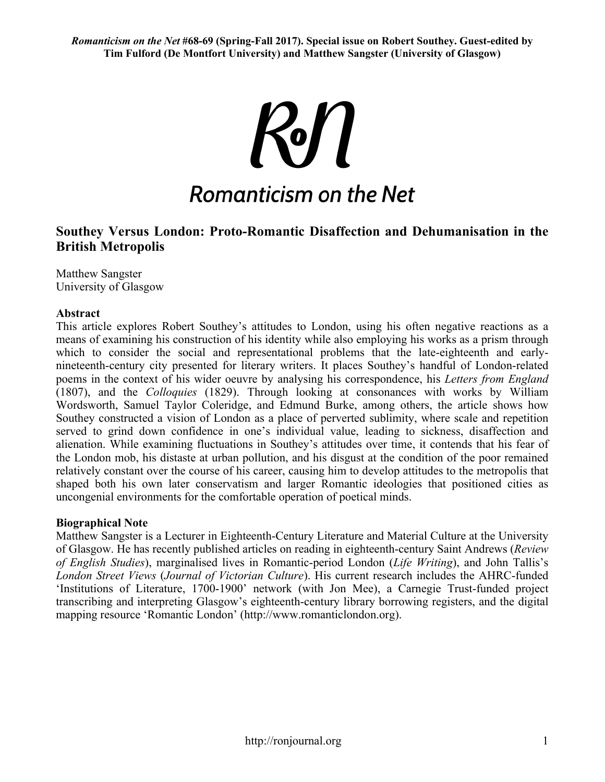**R**on **Romanticism on the Net** 

# **Southey Versus London: Proto-Romantic Disaffection and Dehumanisation in the British Metropolis**

Matthew Sangster University of Glasgow

# **Abstract**

This article explores Robert Southey's attitudes to London, using his often negative reactions as a means of examining his construction of his identity while also employing his works as a prism through which to consider the social and representational problems that the late-eighteenth and earlynineteenth-century city presented for literary writers. It places Southey's handful of London-related poems in the context of his wider oeuvre by analysing his correspondence, his *Letters from England* (1807), and the *Colloquies* (1829). Through looking at consonances with works by William Wordsworth, Samuel Taylor Coleridge, and Edmund Burke, among others, the article shows how Southey constructed a vision of London as a place of perverted sublimity, where scale and repetition served to grind down confidence in one's individual value, leading to sickness, disaffection and alienation. While examining fluctuations in Southey's attitudes over time, it contends that his fear of the London mob, his distaste at urban pollution, and his disgust at the condition of the poor remained relatively constant over the course of his career, causing him to develop attitudes to the metropolis that shaped both his own later conservatism and larger Romantic ideologies that positioned cities as uncongenial environments for the comfortable operation of poetical minds.

# **Biographical Note**

Matthew Sangster is a Lecturer in Eighteenth-Century Literature and Material Culture at the University of Glasgow. He has recently published articles on reading in eighteenth-century Saint Andrews (*Review of English Studies*), marginalised lives in Romantic-period London (*Life Writing*), and John Tallis's *London Street Views* (*Journal of Victorian Culture*). His current research includes the AHRC-funded 'Institutions of Literature, 1700-1900' network (with Jon Mee), a Carnegie Trust-funded project transcribing and interpreting Glasgow's eighteenth-century library borrowing registers, and the digital mapping resource 'Romantic London' (http://www.romanticlondon.org).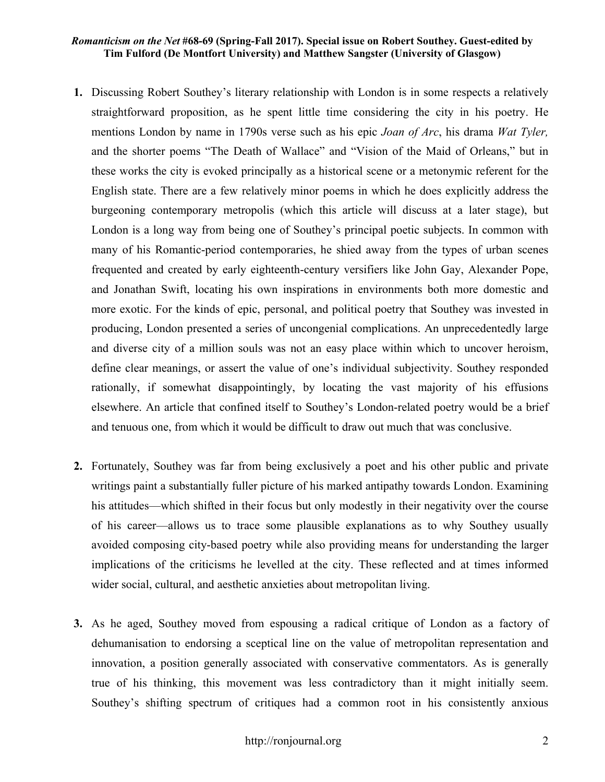- **1.** Discussing Robert Southey's literary relationship with London is in some respects a relatively straightforward proposition, as he spent little time considering the city in his poetry. He mentions London by name in 1790s verse such as his epic *Joan of Arc*, his drama *Wat Tyler,* and the shorter poems "The Death of Wallace" and "Vision of the Maid of Orleans," but in these works the city is evoked principally as a historical scene or a metonymic referent for the English state. There are a few relatively minor poems in which he does explicitly address the burgeoning contemporary metropolis (which this article will discuss at a later stage), but London is a long way from being one of Southey's principal poetic subjects. In common with many of his Romantic-period contemporaries, he shied away from the types of urban scenes frequented and created by early eighteenth-century versifiers like John Gay, Alexander Pope, and Jonathan Swift, locating his own inspirations in environments both more domestic and more exotic. For the kinds of epic, personal, and political poetry that Southey was invested in producing, London presented a series of uncongenial complications. An unprecedentedly large and diverse city of a million souls was not an easy place within which to uncover heroism, define clear meanings, or assert the value of one's individual subjectivity. Southey responded rationally, if somewhat disappointingly, by locating the vast majority of his effusions elsewhere. An article that confined itself to Southey's London-related poetry would be a brief and tenuous one, from which it would be difficult to draw out much that was conclusive.
- **2.** Fortunately, Southey was far from being exclusively a poet and his other public and private writings paint a substantially fuller picture of his marked antipathy towards London. Examining his attitudes—which shifted in their focus but only modestly in their negativity over the course of his career—allows us to trace some plausible explanations as to why Southey usually avoided composing city-based poetry while also providing means for understanding the larger implications of the criticisms he levelled at the city. These reflected and at times informed wider social, cultural, and aesthetic anxieties about metropolitan living.
- **3.** As he aged, Southey moved from espousing a radical critique of London as a factory of dehumanisation to endorsing a sceptical line on the value of metropolitan representation and innovation, a position generally associated with conservative commentators. As is generally true of his thinking, this movement was less contradictory than it might initially seem. Southey's shifting spectrum of critiques had a common root in his consistently anxious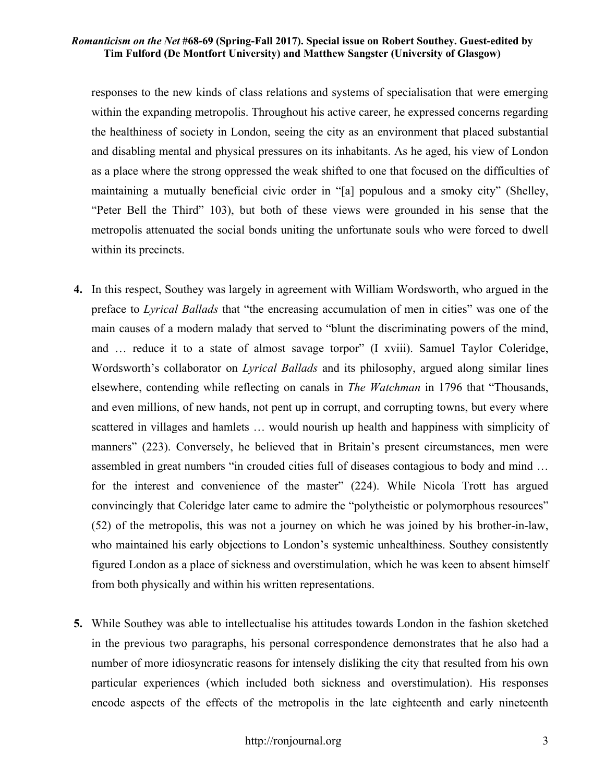responses to the new kinds of class relations and systems of specialisation that were emerging within the expanding metropolis. Throughout his active career, he expressed concerns regarding the healthiness of society in London, seeing the city as an environment that placed substantial and disabling mental and physical pressures on its inhabitants. As he aged, his view of London as a place where the strong oppressed the weak shifted to one that focused on the difficulties of maintaining a mutually beneficial civic order in "[a] populous and a smoky city" (Shelley, "Peter Bell the Third" 103), but both of these views were grounded in his sense that the metropolis attenuated the social bonds uniting the unfortunate souls who were forced to dwell within its precincts.

- **4.** In this respect, Southey was largely in agreement with William Wordsworth, who argued in the preface to *Lyrical Ballads* that "the encreasing accumulation of men in cities" was one of the main causes of a modern malady that served to "blunt the discriminating powers of the mind, and … reduce it to a state of almost savage torpor" (I xviii). Samuel Taylor Coleridge, Wordsworth's collaborator on *Lyrical Ballads* and its philosophy, argued along similar lines elsewhere, contending while reflecting on canals in *The Watchman* in 1796 that "Thousands, and even millions, of new hands, not pent up in corrupt, and corrupting towns, but every where scattered in villages and hamlets … would nourish up health and happiness with simplicity of manners" (223). Conversely, he believed that in Britain's present circumstances, men were assembled in great numbers "in crouded cities full of diseases contagious to body and mind … for the interest and convenience of the master" (224). While Nicola Trott has argued convincingly that Coleridge later came to admire the "polytheistic or polymorphous resources" (52) of the metropolis, this was not a journey on which he was joined by his brother-in-law, who maintained his early objections to London's systemic unhealthiness. Southey consistently figured London as a place of sickness and overstimulation, which he was keen to absent himself from both physically and within his written representations.
- **5.** While Southey was able to intellectualise his attitudes towards London in the fashion sketched in the previous two paragraphs, his personal correspondence demonstrates that he also had a number of more idiosyncratic reasons for intensely disliking the city that resulted from his own particular experiences (which included both sickness and overstimulation). His responses encode aspects of the effects of the metropolis in the late eighteenth and early nineteenth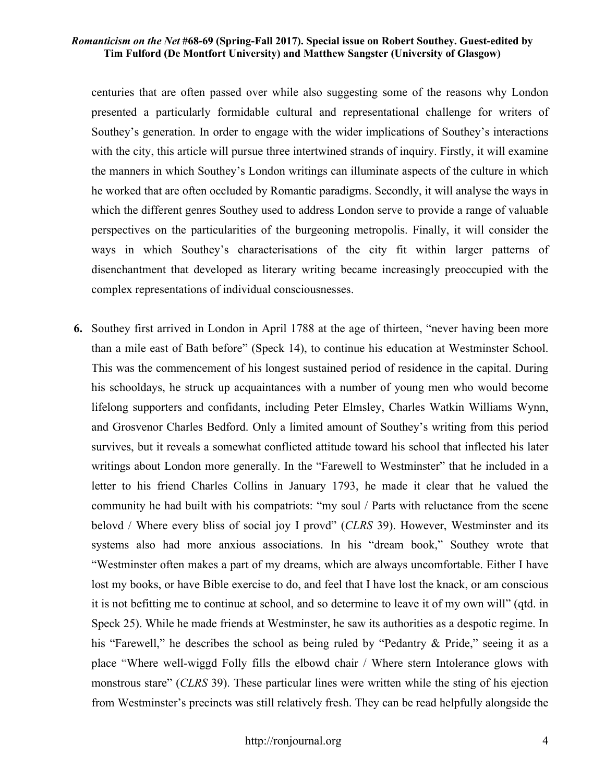centuries that are often passed over while also suggesting some of the reasons why London presented a particularly formidable cultural and representational challenge for writers of Southey's generation. In order to engage with the wider implications of Southey's interactions with the city, this article will pursue three intertwined strands of inquiry. Firstly, it will examine the manners in which Southey's London writings can illuminate aspects of the culture in which he worked that are often occluded by Romantic paradigms. Secondly, it will analyse the ways in which the different genres Southey used to address London serve to provide a range of valuable perspectives on the particularities of the burgeoning metropolis. Finally, it will consider the ways in which Southey's characterisations of the city fit within larger patterns of disenchantment that developed as literary writing became increasingly preoccupied with the complex representations of individual consciousnesses.

**6.** Southey first arrived in London in April 1788 at the age of thirteen, "never having been more than a mile east of Bath before" (Speck 14), to continue his education at Westminster School. This was the commencement of his longest sustained period of residence in the capital. During his schooldays, he struck up acquaintances with a number of young men who would become lifelong supporters and confidants, including Peter Elmsley, Charles Watkin Williams Wynn, and Grosvenor Charles Bedford. Only a limited amount of Southey's writing from this period survives, but it reveals a somewhat conflicted attitude toward his school that inflected his later writings about London more generally. In the "Farewell to Westminster" that he included in a letter to his friend Charles Collins in January 1793, he made it clear that he valued the community he had built with his compatriots: "my soul / Parts with reluctance from the scene belovd / Where every bliss of social joy I provd" (*CLRS* 39). However, Westminster and its systems also had more anxious associations. In his "dream book," Southey wrote that "Westminster often makes a part of my dreams, which are always uncomfortable. Either I have lost my books, or have Bible exercise to do, and feel that I have lost the knack, or am conscious it is not befitting me to continue at school, and so determine to leave it of my own will" (qtd. in Speck 25). While he made friends at Westminster, he saw its authorities as a despotic regime. In his "Farewell," he describes the school as being ruled by "Pedantry & Pride," seeing it as a place "Where well-wiggd Folly fills the elbowd chair / Where stern Intolerance glows with monstrous stare" (*CLRS* 39). These particular lines were written while the sting of his ejection from Westminster's precincts was still relatively fresh. They can be read helpfully alongside the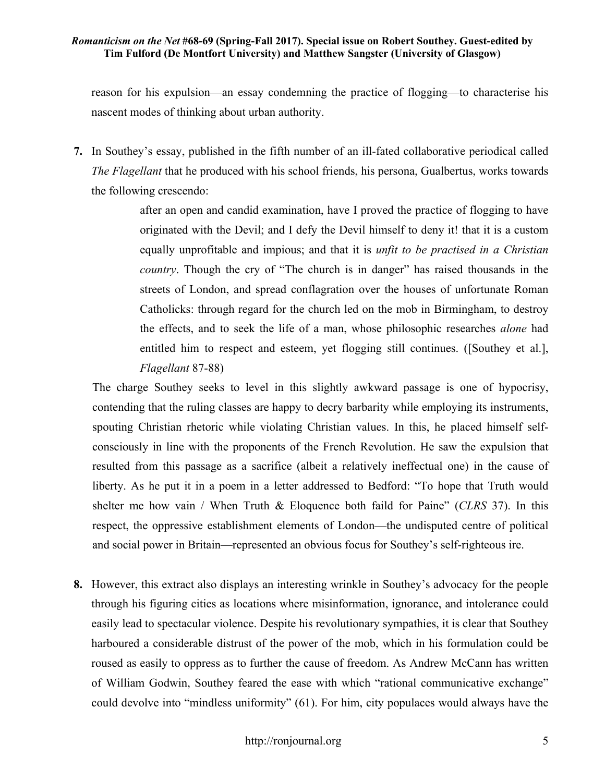reason for his expulsion—an essay condemning the practice of flogging—to characterise his nascent modes of thinking about urban authority.

**7.** In Southey's essay, published in the fifth number of an ill-fated collaborative periodical called *The Flagellant* that he produced with his school friends, his persona, Gualbertus, works towards the following crescendo:

> after an open and candid examination, have I proved the practice of flogging to have originated with the Devil; and I defy the Devil himself to deny it! that it is a custom equally unprofitable and impious; and that it is *unfit to be practised in a Christian country*. Though the cry of "The church is in danger" has raised thousands in the streets of London, and spread conflagration over the houses of unfortunate Roman Catholicks: through regard for the church led on the mob in Birmingham, to destroy the effects, and to seek the life of a man, whose philosophic researches *alone* had entitled him to respect and esteem, yet flogging still continues. ([Southey et al.], *Flagellant* 87-88)

The charge Southey seeks to level in this slightly awkward passage is one of hypocrisy, contending that the ruling classes are happy to decry barbarity while employing its instruments, spouting Christian rhetoric while violating Christian values. In this, he placed himself selfconsciously in line with the proponents of the French Revolution. He saw the expulsion that resulted from this passage as a sacrifice (albeit a relatively ineffectual one) in the cause of liberty. As he put it in a poem in a letter addressed to Bedford: "To hope that Truth would shelter me how vain / When Truth & Eloquence both faild for Paine" (*CLRS* 37). In this respect, the oppressive establishment elements of London—the undisputed centre of political and social power in Britain—represented an obvious focus for Southey's self-righteous ire.

**8.** However, this extract also displays an interesting wrinkle in Southey's advocacy for the people through his figuring cities as locations where misinformation, ignorance, and intolerance could easily lead to spectacular violence. Despite his revolutionary sympathies, it is clear that Southey harboured a considerable distrust of the power of the mob, which in his formulation could be roused as easily to oppress as to further the cause of freedom. As Andrew McCann has written of William Godwin, Southey feared the ease with which "rational communicative exchange" could devolve into "mindless uniformity" (61). For him, city populaces would always have the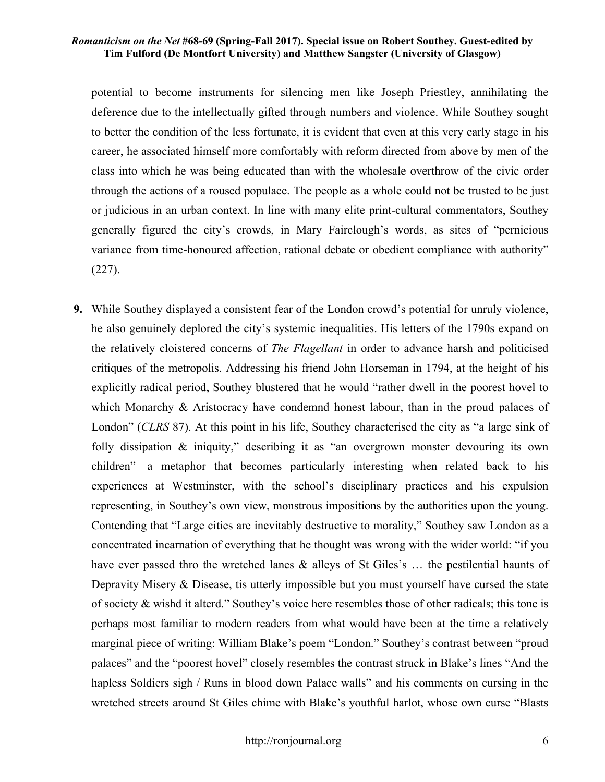potential to become instruments for silencing men like Joseph Priestley, annihilating the deference due to the intellectually gifted through numbers and violence. While Southey sought to better the condition of the less fortunate, it is evident that even at this very early stage in his career, he associated himself more comfortably with reform directed from above by men of the class into which he was being educated than with the wholesale overthrow of the civic order through the actions of a roused populace. The people as a whole could not be trusted to be just or judicious in an urban context. In line with many elite print-cultural commentators, Southey generally figured the city's crowds, in Mary Fairclough's words, as sites of "pernicious variance from time-honoured affection, rational debate or obedient compliance with authority" (227).

**9.** While Southey displayed a consistent fear of the London crowd's potential for unruly violence, he also genuinely deplored the city's systemic inequalities. His letters of the 1790s expand on the relatively cloistered concerns of *The Flagellant* in order to advance harsh and politicised critiques of the metropolis. Addressing his friend John Horseman in 1794, at the height of his explicitly radical period, Southey blustered that he would "rather dwell in the poorest hovel to which Monarchy & Aristocracy have condemnd honest labour, than in the proud palaces of London" (*CLRS* 87). At this point in his life, Southey characterised the city as "a large sink of folly dissipation  $\&$  iniquity," describing it as "an overgrown monster devouring its own children"—a metaphor that becomes particularly interesting when related back to his experiences at Westminster, with the school's disciplinary practices and his expulsion representing, in Southey's own view, monstrous impositions by the authorities upon the young. Contending that "Large cities are inevitably destructive to morality," Southey saw London as a concentrated incarnation of everything that he thought was wrong with the wider world: "if you have ever passed thro the wretched lanes & alleys of St Giles's … the pestilential haunts of Depravity Misery & Disease, tis utterly impossible but you must yourself have cursed the state of society & wishd it alterd." Southey's voice here resembles those of other radicals; this tone is perhaps most familiar to modern readers from what would have been at the time a relatively marginal piece of writing: William Blake's poem "London." Southey's contrast between "proud palaces" and the "poorest hovel" closely resembles the contrast struck in Blake's lines "And the hapless Soldiers sigh / Runs in blood down Palace walls" and his comments on cursing in the wretched streets around St Giles chime with Blake's youthful harlot, whose own curse "Blasts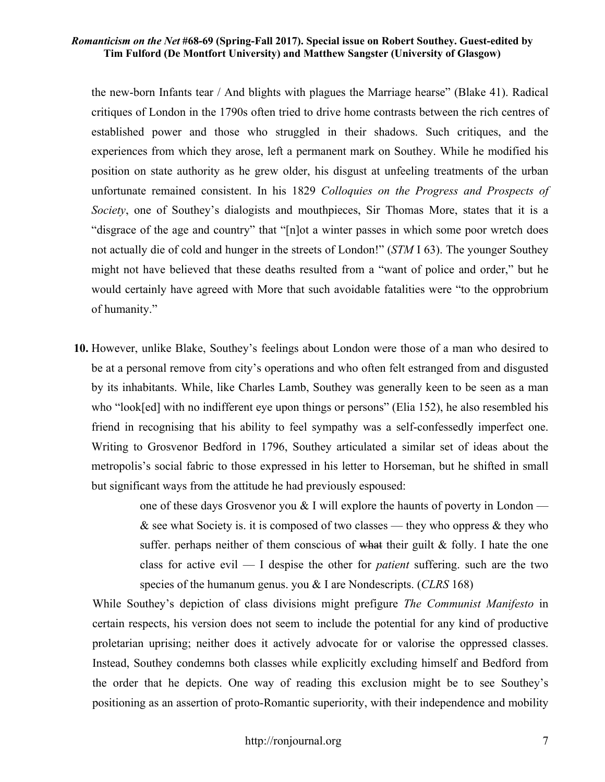the new-born Infants tear / And blights with plagues the Marriage hearse" (Blake 41). Radical critiques of London in the 1790s often tried to drive home contrasts between the rich centres of established power and those who struggled in their shadows. Such critiques, and the experiences from which they arose, left a permanent mark on Southey. While he modified his position on state authority as he grew older, his disgust at unfeeling treatments of the urban unfortunate remained consistent. In his 1829 *Colloquies on the Progress and Prospects of Society*, one of Southey's dialogists and mouthpieces, Sir Thomas More, states that it is a "disgrace of the age and country" that "[n]ot a winter passes in which some poor wretch does not actually die of cold and hunger in the streets of London!" (*STM* I 63). The younger Southey might not have believed that these deaths resulted from a "want of police and order," but he would certainly have agreed with More that such avoidable fatalities were "to the opprobrium of humanity."

**10.** However, unlike Blake, Southey's feelings about London were those of a man who desired to be at a personal remove from city's operations and who often felt estranged from and disgusted by its inhabitants. While, like Charles Lamb, Southey was generally keen to be seen as a man who "look[ed] with no indifferent eye upon things or persons" (Elia 152), he also resembled his friend in recognising that his ability to feel sympathy was a self-confessedly imperfect one. Writing to Grosvenor Bedford in 1796, Southey articulated a similar set of ideas about the metropolis's social fabric to those expressed in his letter to Horseman, but he shifted in small but significant ways from the attitude he had previously espoused:

> one of these days Grosvenor you  $\&$  I will explore the haunts of poverty in London —  $\&$  see what Society is. it is composed of two classes — they who oppress  $\&$  they who suffer. perhaps neither of them conscious of what their guilt & folly. I hate the one class for active evil — I despise the other for *patient* suffering. such are the two species of the humanum genus. you & I are Nondescripts. (*CLRS* 168)

While Southey's depiction of class divisions might prefigure *The Communist Manifesto* in certain respects, his version does not seem to include the potential for any kind of productive proletarian uprising; neither does it actively advocate for or valorise the oppressed classes. Instead, Southey condemns both classes while explicitly excluding himself and Bedford from the order that he depicts. One way of reading this exclusion might be to see Southey's positioning as an assertion of proto-Romantic superiority, with their independence and mobility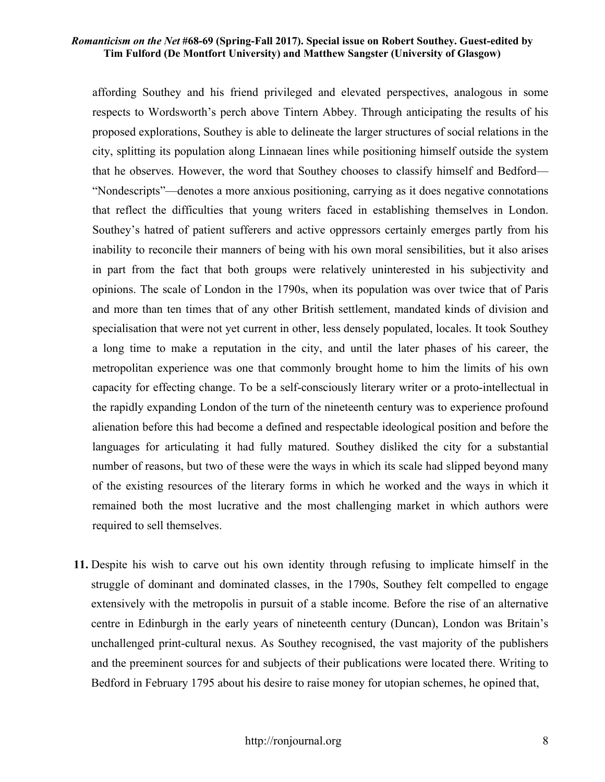affording Southey and his friend privileged and elevated perspectives, analogous in some respects to Wordsworth's perch above Tintern Abbey. Through anticipating the results of his proposed explorations, Southey is able to delineate the larger structures of social relations in the city, splitting its population along Linnaean lines while positioning himself outside the system that he observes. However, the word that Southey chooses to classify himself and Bedford— "Nondescripts"—denotes a more anxious positioning, carrying as it does negative connotations that reflect the difficulties that young writers faced in establishing themselves in London. Southey's hatred of patient sufferers and active oppressors certainly emerges partly from his inability to reconcile their manners of being with his own moral sensibilities, but it also arises in part from the fact that both groups were relatively uninterested in his subjectivity and opinions. The scale of London in the 1790s, when its population was over twice that of Paris and more than ten times that of any other British settlement, mandated kinds of division and specialisation that were not yet current in other, less densely populated, locales. It took Southey a long time to make a reputation in the city, and until the later phases of his career, the metropolitan experience was one that commonly brought home to him the limits of his own capacity for effecting change. To be a self-consciously literary writer or a proto-intellectual in the rapidly expanding London of the turn of the nineteenth century was to experience profound alienation before this had become a defined and respectable ideological position and before the languages for articulating it had fully matured. Southey disliked the city for a substantial number of reasons, but two of these were the ways in which its scale had slipped beyond many of the existing resources of the literary forms in which he worked and the ways in which it remained both the most lucrative and the most challenging market in which authors were required to sell themselves.

**11.** Despite his wish to carve out his own identity through refusing to implicate himself in the struggle of dominant and dominated classes, in the 1790s, Southey felt compelled to engage extensively with the metropolis in pursuit of a stable income. Before the rise of an alternative centre in Edinburgh in the early years of nineteenth century (Duncan), London was Britain's unchallenged print-cultural nexus. As Southey recognised, the vast majority of the publishers and the preeminent sources for and subjects of their publications were located there. Writing to Bedford in February 1795 about his desire to raise money for utopian schemes, he opined that,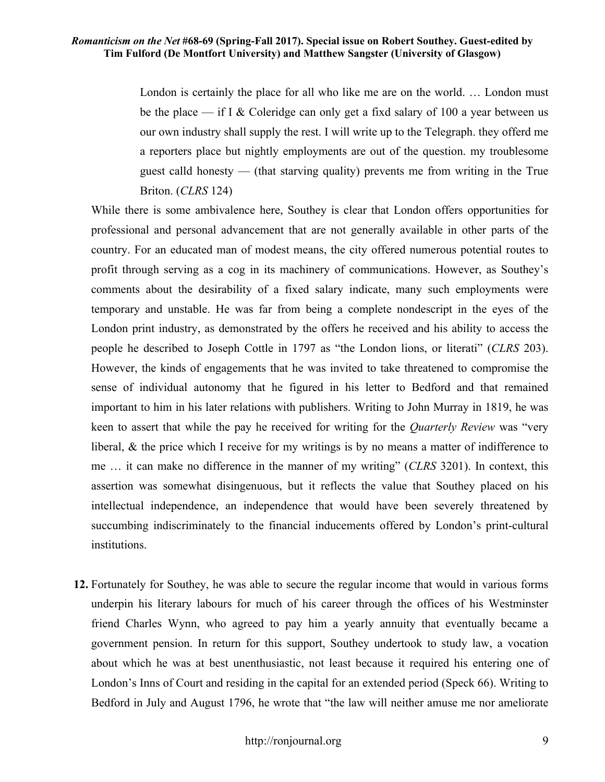London is certainly the place for all who like me are on the world. … London must be the place — if I & Coleridge can only get a fixd salary of 100 a year between us our own industry shall supply the rest. I will write up to the Telegraph. they offerd me a reporters place but nightly employments are out of the question. my troublesome guest calld honesty — (that starving quality) prevents me from writing in the True Briton. (*CLRS* 124)

While there is some ambivalence here, Southey is clear that London offers opportunities for professional and personal advancement that are not generally available in other parts of the country. For an educated man of modest means, the city offered numerous potential routes to profit through serving as a cog in its machinery of communications. However, as Southey's comments about the desirability of a fixed salary indicate, many such employments were temporary and unstable. He was far from being a complete nondescript in the eyes of the London print industry, as demonstrated by the offers he received and his ability to access the people he described to Joseph Cottle in 1797 as "the London lions, or literati" (*CLRS* 203). However, the kinds of engagements that he was invited to take threatened to compromise the sense of individual autonomy that he figured in his letter to Bedford and that remained important to him in his later relations with publishers. Writing to John Murray in 1819, he was keen to assert that while the pay he received for writing for the *Quarterly Review* was "very liberal, & the price which I receive for my writings is by no means a matter of indifference to me … it can make no difference in the manner of my writing" (*CLRS* 3201). In context, this assertion was somewhat disingenuous, but it reflects the value that Southey placed on his intellectual independence, an independence that would have been severely threatened by succumbing indiscriminately to the financial inducements offered by London's print-cultural institutions.

**12.** Fortunately for Southey, he was able to secure the regular income that would in various forms underpin his literary labours for much of his career through the offices of his Westminster friend Charles Wynn, who agreed to pay him a yearly annuity that eventually became a government pension. In return for this support, Southey undertook to study law, a vocation about which he was at best unenthusiastic, not least because it required his entering one of London's Inns of Court and residing in the capital for an extended period (Speck 66). Writing to Bedford in July and August 1796, he wrote that "the law will neither amuse me nor ameliorate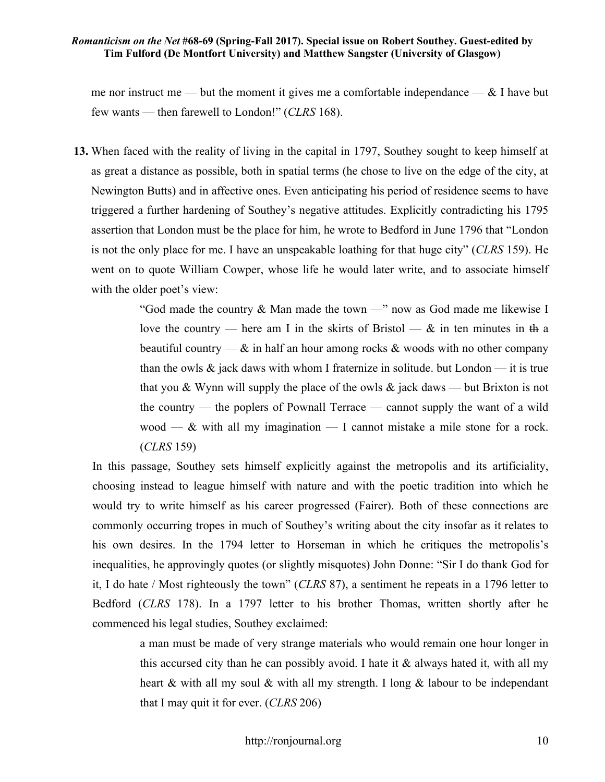me nor instruct me — but the moment it gives me a comfortable independance —  $\&$  I have but few wants — then farewell to London!" (*CLRS* 168).

**13.** When faced with the reality of living in the capital in 1797, Southey sought to keep himself at as great a distance as possible, both in spatial terms (he chose to live on the edge of the city, at Newington Butts) and in affective ones. Even anticipating his period of residence seems to have triggered a further hardening of Southey's negative attitudes. Explicitly contradicting his 1795 assertion that London must be the place for him, he wrote to Bedford in June 1796 that "London is not the only place for me. I have an unspeakable loathing for that huge city" (*CLRS* 159). He went on to quote William Cowper, whose life he would later write, and to associate himself with the older poet's view:

> "God made the country  $&$  Man made the town  $-$ " now as God made me likewise I love the country — here am I in the skirts of Bristol —  $\&$  in ten minutes in the a beautiful country —  $\&$  in half an hour among rocks  $\&$  woods with no other company than the owls  $\&$  jack daws with whom I fraternize in solitude. but London — it is true that you & Wynn will supply the place of the owls  $\&$  jack daws — but Brixton is not the country — the poplers of Pownall Terrace — cannot supply the want of a wild wood —  $\&$  with all my imagination — I cannot mistake a mile stone for a rock. (*CLRS* 159)

In this passage, Southey sets himself explicitly against the metropolis and its artificiality, choosing instead to league himself with nature and with the poetic tradition into which he would try to write himself as his career progressed (Fairer). Both of these connections are commonly occurring tropes in much of Southey's writing about the city insofar as it relates to his own desires. In the 1794 letter to Horseman in which he critiques the metropolis's inequalities, he approvingly quotes (or slightly misquotes) John Donne: "Sir I do thank God for it, I do hate / Most righteously the town" (*CLRS* 87), a sentiment he repeats in a 1796 letter to Bedford (*CLRS* 178). In a 1797 letter to his brother Thomas, written shortly after he commenced his legal studies, Southey exclaimed:

> a man must be made of very strange materials who would remain one hour longer in this accursed city than he can possibly avoid. I hate it  $\&$  always hated it, with all my heart & with all my soul & with all my strength. I long & labour to be independant that I may quit it for ever. (*CLRS* 206)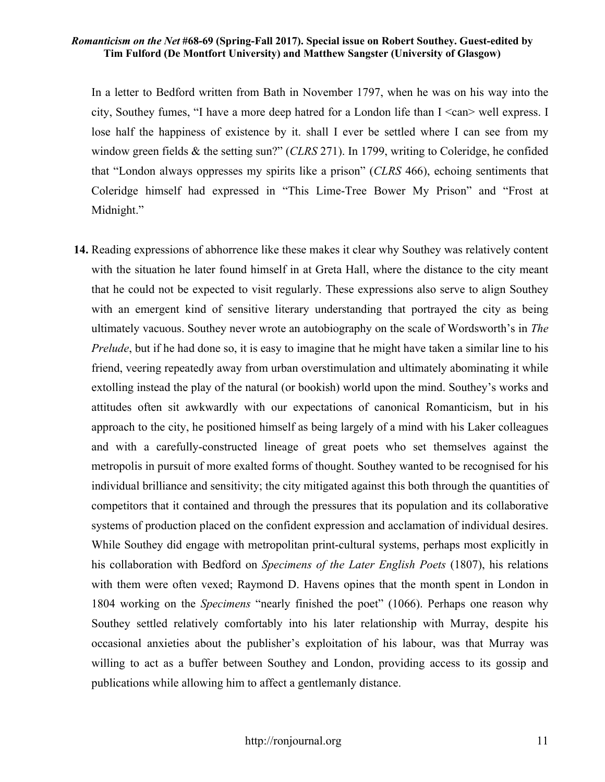In a letter to Bedford written from Bath in November 1797, when he was on his way into the city, Southey fumes, "I have a more deep hatred for a London life than  $I \leq can \geq$  well express. I lose half the happiness of existence by it. shall I ever be settled where I can see from my window green fields & the setting sun?" (*CLRS* 271). In 1799, writing to Coleridge, he confided that "London always oppresses my spirits like a prison" (*CLRS* 466), echoing sentiments that Coleridge himself had expressed in "This Lime-Tree Bower My Prison" and "Frost at Midnight."

**14.** Reading expressions of abhorrence like these makes it clear why Southey was relatively content with the situation he later found himself in at Greta Hall, where the distance to the city meant that he could not be expected to visit regularly. These expressions also serve to align Southey with an emergent kind of sensitive literary understanding that portrayed the city as being ultimately vacuous. Southey never wrote an autobiography on the scale of Wordsworth's in *The Prelude*, but if he had done so, it is easy to imagine that he might have taken a similar line to his friend, veering repeatedly away from urban overstimulation and ultimately abominating it while extolling instead the play of the natural (or bookish) world upon the mind. Southey's works and attitudes often sit awkwardly with our expectations of canonical Romanticism, but in his approach to the city, he positioned himself as being largely of a mind with his Laker colleagues and with a carefully-constructed lineage of great poets who set themselves against the metropolis in pursuit of more exalted forms of thought. Southey wanted to be recognised for his individual brilliance and sensitivity; the city mitigated against this both through the quantities of competitors that it contained and through the pressures that its population and its collaborative systems of production placed on the confident expression and acclamation of individual desires. While Southey did engage with metropolitan print-cultural systems, perhaps most explicitly in his collaboration with Bedford on *Specimens of the Later English Poets* (1807), his relations with them were often vexed; Raymond D. Havens opines that the month spent in London in 1804 working on the *Specimens* "nearly finished the poet" (1066). Perhaps one reason why Southey settled relatively comfortably into his later relationship with Murray, despite his occasional anxieties about the publisher's exploitation of his labour, was that Murray was willing to act as a buffer between Southey and London, providing access to its gossip and publications while allowing him to affect a gentlemanly distance.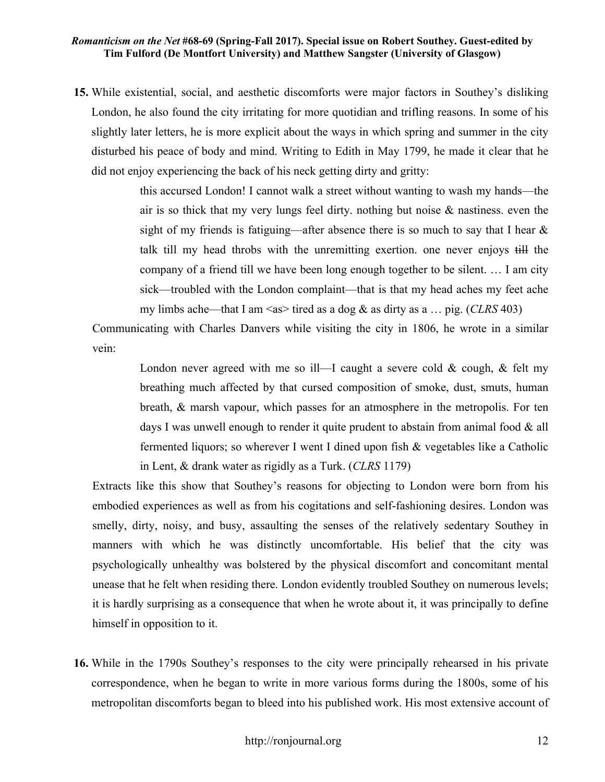**15.** While existential, social, and aesthetic discomforts were major factors in Southey's disliking London, he also found the city irritating for more quotidian and trifling reasons. In some of his slightly later letters, he is more explicit about the ways in which spring and summer in the city disturbed his peace of body and mind. Writing to Edith in May 1799, he made it clear that he did not enjoy experiencing the back of his neck getting dirty and gritty:

> this accursed London! I cannot walk a street without wanting to wash my hands—the air is so thick that my very lungs feel dirty. nothing but noise & nastiness. even the sight of my friends is fatiguing—after absence there is so much to say that I hear  $\&$ talk till my head throbs with the unremitting exertion. one never enjoys till the company of a friend till we have been long enough together to be silent. … I am city sick—troubled with the London complaint—that is that my head aches my feet ache my limbs ache—that I am  $\langle$ as>tired as a dog & as dirty as a ... pig. (*CLRS* 403)

Communicating with Charles Danvers while visiting the city in 1806, he wrote in a similar vein:

> London never agreed with me so ill—I caught a severe cold  $\&$  cough,  $\&$  felt my breathing much affected by that cursed composition of smoke, dust, smuts, human breath, & marsh vapour, which passes for an atmosphere in the metropolis. For ten days I was unwell enough to render it quite prudent to abstain from animal food & all fermented liquors; so wherever I went I dined upon fish & vegetables like a Catholic in Lent, & drank water as rigidly as a Turk. (*CLRS* 1179)

Extracts like this show that Southey's reasons for objecting to London were born from his embodied experiences as well as from his cogitations and self-fashioning desires. London was smelly, dirty, noisy, and busy, assaulting the senses of the relatively sedentary Southey in manners with which he was distinctly uncomfortable. His belief that the city was psychologically unhealthy was bolstered by the physical discomfort and concomitant mental unease that he felt when residing there. London evidently troubled Southey on numerous levels; it is hardly surprising as a consequence that when he wrote about it, it was principally to define himself in opposition to it.

**16.** While in the 1790s Southey's responses to the city were principally rehearsed in his private correspondence, when he began to write in more various forms during the 1800s, some of his metropolitan discomforts began to bleed into his published work. His most extensive account of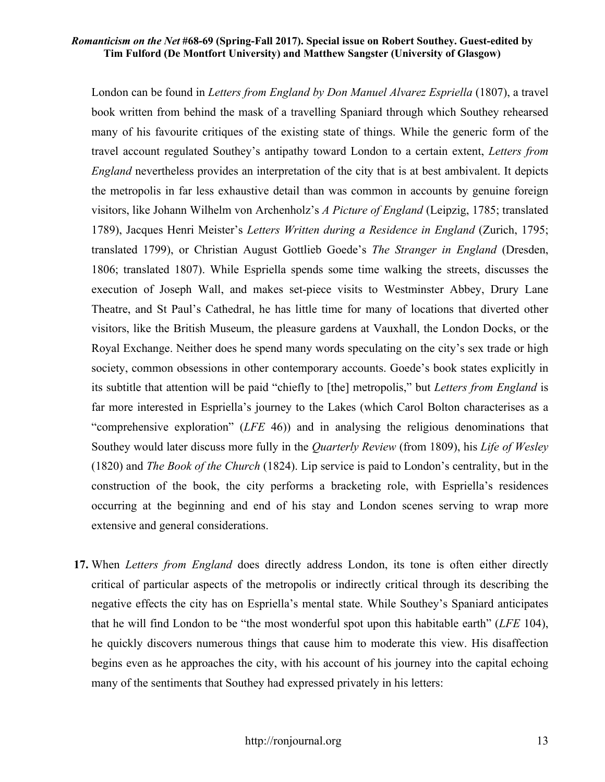London can be found in *Letters from England by Don Manuel Alvarez Espriella* (1807), a travel book written from behind the mask of a travelling Spaniard through which Southey rehearsed many of his favourite critiques of the existing state of things. While the generic form of the travel account regulated Southey's antipathy toward London to a certain extent, *Letters from England* nevertheless provides an interpretation of the city that is at best ambivalent. It depicts the metropolis in far less exhaustive detail than was common in accounts by genuine foreign visitors, like Johann Wilhelm von Archenholz's *A Picture of England* (Leipzig, 1785; translated 1789), Jacques Henri Meister's *Letters Written during a Residence in England* (Zurich, 1795; translated 1799), or Christian August Gottlieb Goede's *The Stranger in England* (Dresden, 1806; translated 1807). While Espriella spends some time walking the streets, discusses the execution of Joseph Wall, and makes set-piece visits to Westminster Abbey, Drury Lane Theatre, and St Paul's Cathedral, he has little time for many of locations that diverted other visitors, like the British Museum, the pleasure gardens at Vauxhall, the London Docks, or the Royal Exchange. Neither does he spend many words speculating on the city's sex trade or high society, common obsessions in other contemporary accounts. Goede's book states explicitly in its subtitle that attention will be paid "chiefly to [the] metropolis," but *Letters from England* is far more interested in Espriella's journey to the Lakes (which Carol Bolton characterises as a "comprehensive exploration" (*LFE* 46)) and in analysing the religious denominations that Southey would later discuss more fully in the *Quarterly Review* (from 1809), his *Life of Wesley* (1820) and *The Book of the Church* (1824). Lip service is paid to London's centrality, but in the construction of the book, the city performs a bracketing role, with Espriella's residences occurring at the beginning and end of his stay and London scenes serving to wrap more extensive and general considerations.

**17.** When *Letters from England* does directly address London, its tone is often either directly critical of particular aspects of the metropolis or indirectly critical through its describing the negative effects the city has on Espriella's mental state. While Southey's Spaniard anticipates that he will find London to be "the most wonderful spot upon this habitable earth" (*LFE* 104), he quickly discovers numerous things that cause him to moderate this view. His disaffection begins even as he approaches the city, with his account of his journey into the capital echoing many of the sentiments that Southey had expressed privately in his letters: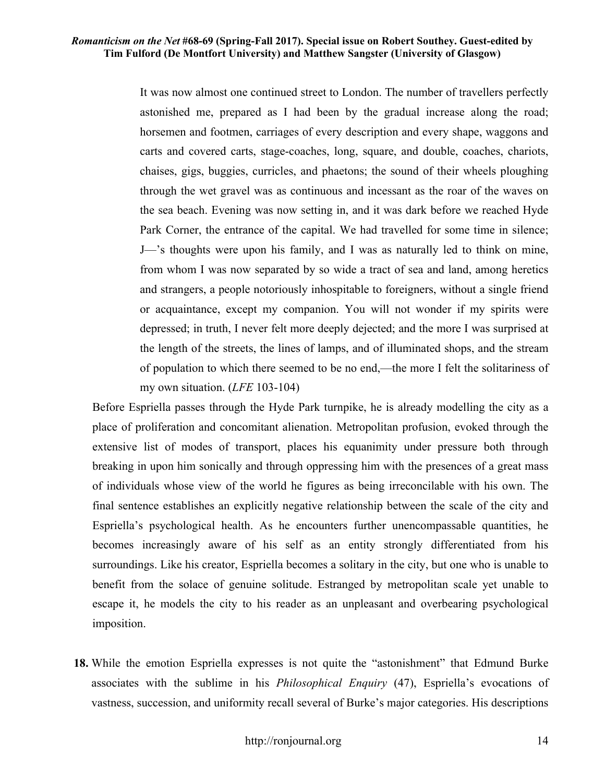It was now almost one continued street to London. The number of travellers perfectly astonished me, prepared as I had been by the gradual increase along the road; horsemen and footmen, carriages of every description and every shape, waggons and carts and covered carts, stage-coaches, long, square, and double, coaches, chariots, chaises, gigs, buggies, curricles, and phaetons; the sound of their wheels ploughing through the wet gravel was as continuous and incessant as the roar of the waves on the sea beach. Evening was now setting in, and it was dark before we reached Hyde Park Corner, the entrance of the capital. We had travelled for some time in silence; J—'s thoughts were upon his family, and I was as naturally led to think on mine, from whom I was now separated by so wide a tract of sea and land, among heretics and strangers, a people notoriously inhospitable to foreigners, without a single friend or acquaintance, except my companion. You will not wonder if my spirits were depressed; in truth, I never felt more deeply dejected; and the more I was surprised at the length of the streets, the lines of lamps, and of illuminated shops, and the stream of population to which there seemed to be no end,—the more I felt the solitariness of my own situation. (*LFE* 103-104)

Before Espriella passes through the Hyde Park turnpike, he is already modelling the city as a place of proliferation and concomitant alienation. Metropolitan profusion, evoked through the extensive list of modes of transport, places his equanimity under pressure both through breaking in upon him sonically and through oppressing him with the presences of a great mass of individuals whose view of the world he figures as being irreconcilable with his own. The final sentence establishes an explicitly negative relationship between the scale of the city and Espriella's psychological health. As he encounters further unencompassable quantities, he becomes increasingly aware of his self as an entity strongly differentiated from his surroundings. Like his creator, Espriella becomes a solitary in the city, but one who is unable to benefit from the solace of genuine solitude. Estranged by metropolitan scale yet unable to escape it, he models the city to his reader as an unpleasant and overbearing psychological imposition.

**18.** While the emotion Espriella expresses is not quite the "astonishment" that Edmund Burke associates with the sublime in his *Philosophical Enquiry* (47), Espriella's evocations of vastness, succession, and uniformity recall several of Burke's major categories. His descriptions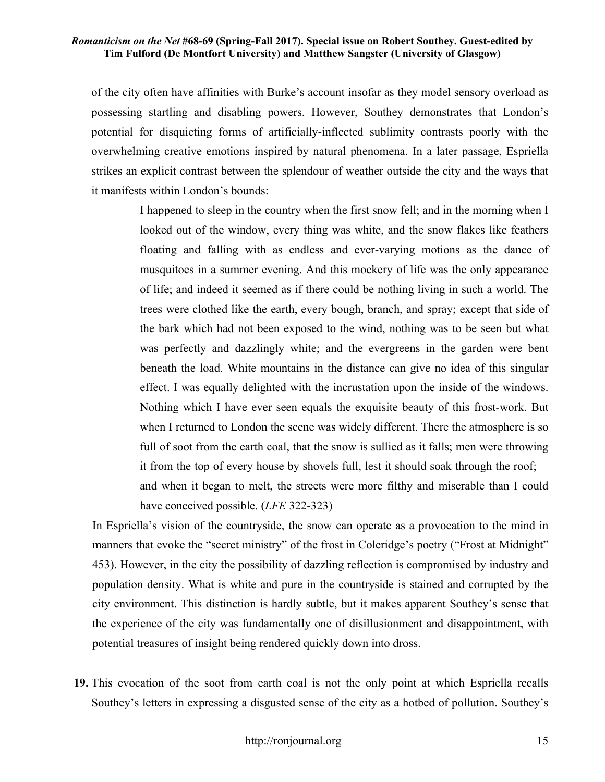of the city often have affinities with Burke's account insofar as they model sensory overload as possessing startling and disabling powers. However, Southey demonstrates that London's potential for disquieting forms of artificially-inflected sublimity contrasts poorly with the overwhelming creative emotions inspired by natural phenomena. In a later passage, Espriella strikes an explicit contrast between the splendour of weather outside the city and the ways that it manifests within London's bounds:

> I happened to sleep in the country when the first snow fell; and in the morning when I looked out of the window, every thing was white, and the snow flakes like feathers floating and falling with as endless and ever-varying motions as the dance of musquitoes in a summer evening. And this mockery of life was the only appearance of life; and indeed it seemed as if there could be nothing living in such a world. The trees were clothed like the earth, every bough, branch, and spray; except that side of the bark which had not been exposed to the wind, nothing was to be seen but what was perfectly and dazzlingly white; and the evergreens in the garden were bent beneath the load. White mountains in the distance can give no idea of this singular effect. I was equally delighted with the incrustation upon the inside of the windows. Nothing which I have ever seen equals the exquisite beauty of this frost-work. But when I returned to London the scene was widely different. There the atmosphere is so full of soot from the earth coal, that the snow is sullied as it falls; men were throwing it from the top of every house by shovels full, lest it should soak through the roof; and when it began to melt, the streets were more filthy and miserable than I could have conceived possible. (*LFE* 322-323)

In Espriella's vision of the countryside, the snow can operate as a provocation to the mind in manners that evoke the "secret ministry" of the frost in Coleridge's poetry ("Frost at Midnight" 453). However, in the city the possibility of dazzling reflection is compromised by industry and population density. What is white and pure in the countryside is stained and corrupted by the city environment. This distinction is hardly subtle, but it makes apparent Southey's sense that the experience of the city was fundamentally one of disillusionment and disappointment, with potential treasures of insight being rendered quickly down into dross.

**19.** This evocation of the soot from earth coal is not the only point at which Espriella recalls Southey's letters in expressing a disgusted sense of the city as a hotbed of pollution. Southey's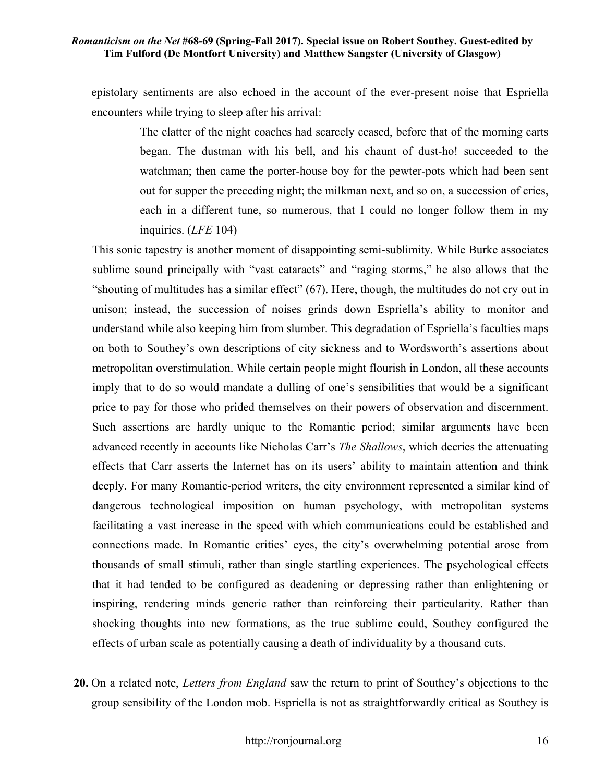epistolary sentiments are also echoed in the account of the ever-present noise that Espriella encounters while trying to sleep after his arrival:

> The clatter of the night coaches had scarcely ceased, before that of the morning carts began. The dustman with his bell, and his chaunt of dust-ho! succeeded to the watchman; then came the porter-house boy for the pewter-pots which had been sent out for supper the preceding night; the milkman next, and so on, a succession of cries, each in a different tune, so numerous, that I could no longer follow them in my inquiries. (*LFE* 104)

This sonic tapestry is another moment of disappointing semi-sublimity. While Burke associates sublime sound principally with "vast cataracts" and "raging storms," he also allows that the "shouting of multitudes has a similar effect" (67). Here, though, the multitudes do not cry out in unison; instead, the succession of noises grinds down Espriella's ability to monitor and understand while also keeping him from slumber. This degradation of Espriella's faculties maps on both to Southey's own descriptions of city sickness and to Wordsworth's assertions about metropolitan overstimulation. While certain people might flourish in London, all these accounts imply that to do so would mandate a dulling of one's sensibilities that would be a significant price to pay for those who prided themselves on their powers of observation and discernment. Such assertions are hardly unique to the Romantic period; similar arguments have been advanced recently in accounts like Nicholas Carr's *The Shallows*, which decries the attenuating effects that Carr asserts the Internet has on its users' ability to maintain attention and think deeply. For many Romantic-period writers, the city environment represented a similar kind of dangerous technological imposition on human psychology, with metropolitan systems facilitating a vast increase in the speed with which communications could be established and connections made. In Romantic critics' eyes, the city's overwhelming potential arose from thousands of small stimuli, rather than single startling experiences. The psychological effects that it had tended to be configured as deadening or depressing rather than enlightening or inspiring, rendering minds generic rather than reinforcing their particularity. Rather than shocking thoughts into new formations, as the true sublime could, Southey configured the effects of urban scale as potentially causing a death of individuality by a thousand cuts.

**20.** On a related note, *Letters from England* saw the return to print of Southey's objections to the group sensibility of the London mob. Espriella is not as straightforwardly critical as Southey is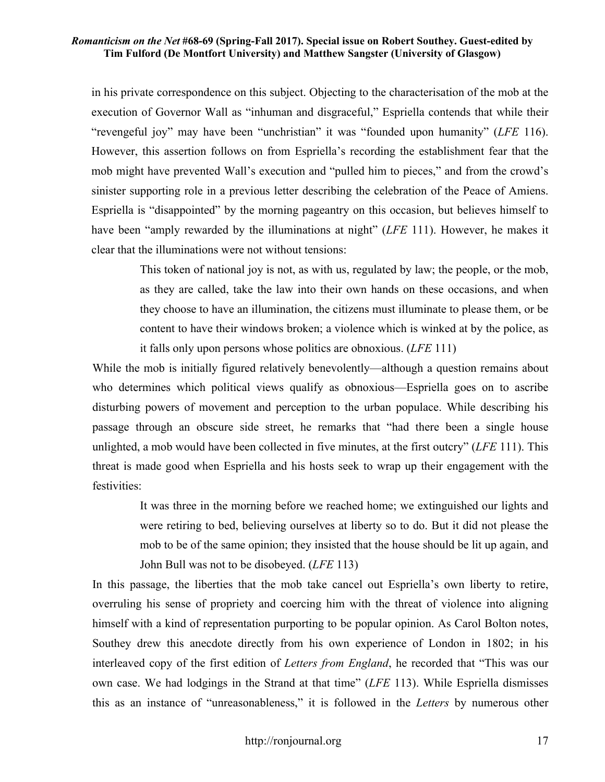in his private correspondence on this subject. Objecting to the characterisation of the mob at the execution of Governor Wall as "inhuman and disgraceful," Espriella contends that while their "revengeful joy" may have been "unchristian" it was "founded upon humanity" (*LFE* 116). However, this assertion follows on from Espriella's recording the establishment fear that the mob might have prevented Wall's execution and "pulled him to pieces," and from the crowd's sinister supporting role in a previous letter describing the celebration of the Peace of Amiens. Espriella is "disappointed" by the morning pageantry on this occasion, but believes himself to have been "amply rewarded by the illuminations at night" (*LFE* 111). However, he makes it clear that the illuminations were not without tensions:

> This token of national joy is not, as with us, regulated by law; the people, or the mob, as they are called, take the law into their own hands on these occasions, and when they choose to have an illumination, the citizens must illuminate to please them, or be content to have their windows broken; a violence which is winked at by the police, as it falls only upon persons whose politics are obnoxious. (*LFE* 111)

While the mob is initially figured relatively benevolently—although a question remains about who determines which political views qualify as obnoxious—Espriella goes on to ascribe disturbing powers of movement and perception to the urban populace. While describing his passage through an obscure side street, he remarks that "had there been a single house unlighted, a mob would have been collected in five minutes, at the first outcry" (*LFE* 111). This threat is made good when Espriella and his hosts seek to wrap up their engagement with the festivities:

> It was three in the morning before we reached home; we extinguished our lights and were retiring to bed, believing ourselves at liberty so to do. But it did not please the mob to be of the same opinion; they insisted that the house should be lit up again, and John Bull was not to be disobeyed. (*LFE* 113)

In this passage, the liberties that the mob take cancel out Espriella's own liberty to retire, overruling his sense of propriety and coercing him with the threat of violence into aligning himself with a kind of representation purporting to be popular opinion. As Carol Bolton notes, Southey drew this anecdote directly from his own experience of London in 1802; in his interleaved copy of the first edition of *Letters from England*, he recorded that "This was our own case. We had lodgings in the Strand at that time" (*LFE* 113). While Espriella dismisses this as an instance of "unreasonableness," it is followed in the *Letters* by numerous other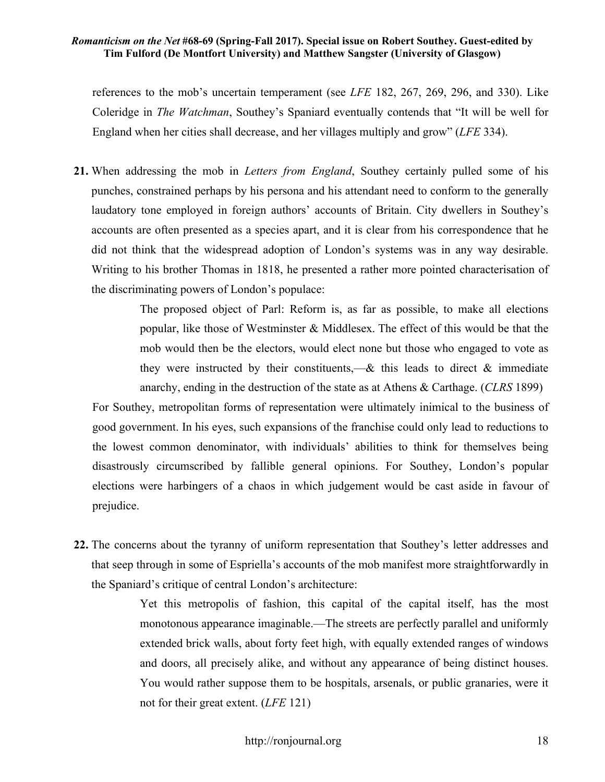references to the mob's uncertain temperament (see *LFE* 182, 267, 269, 296, and 330). Like Coleridge in *The Watchman*, Southey's Spaniard eventually contends that "It will be well for England when her cities shall decrease, and her villages multiply and grow" (*LFE* 334).

**21.** When addressing the mob in *Letters from England*, Southey certainly pulled some of his punches, constrained perhaps by his persona and his attendant need to conform to the generally laudatory tone employed in foreign authors' accounts of Britain. City dwellers in Southey's accounts are often presented as a species apart, and it is clear from his correspondence that he did not think that the widespread adoption of London's systems was in any way desirable. Writing to his brother Thomas in 1818, he presented a rather more pointed characterisation of the discriminating powers of London's populace:

> The proposed object of Parl: Reform is, as far as possible, to make all elections popular, like those of Westminster & Middlesex. The effect of this would be that the mob would then be the electors, would elect none but those who engaged to vote as they were instructed by their constituents,—& this leads to direct & immediate anarchy, ending in the destruction of the state as at Athens & Carthage. (*CLRS* 1899)

For Southey, metropolitan forms of representation were ultimately inimical to the business of good government. In his eyes, such expansions of the franchise could only lead to reductions to the lowest common denominator, with individuals' abilities to think for themselves being disastrously circumscribed by fallible general opinions. For Southey, London's popular elections were harbingers of a chaos in which judgement would be cast aside in favour of prejudice.

**22.** The concerns about the tyranny of uniform representation that Southey's letter addresses and that seep through in some of Espriella's accounts of the mob manifest more straightforwardly in the Spaniard's critique of central London's architecture:

> Yet this metropolis of fashion, this capital of the capital itself, has the most monotonous appearance imaginable.—The streets are perfectly parallel and uniformly extended brick walls, about forty feet high, with equally extended ranges of windows and doors, all precisely alike, and without any appearance of being distinct houses. You would rather suppose them to be hospitals, arsenals, or public granaries, were it not for their great extent. (*LFE* 121)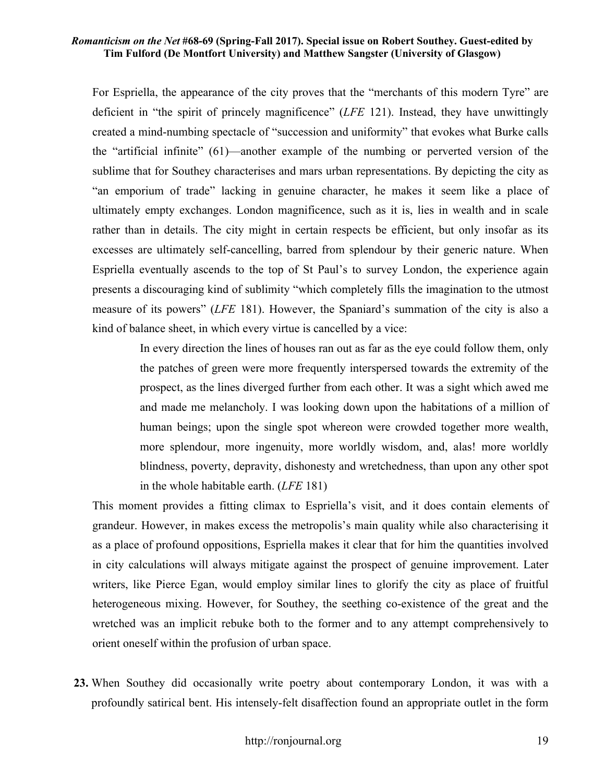For Espriella, the appearance of the city proves that the "merchants of this modern Tyre" are deficient in "the spirit of princely magnificence" (*LFE* 121). Instead, they have unwittingly created a mind-numbing spectacle of "succession and uniformity" that evokes what Burke calls the "artificial infinite" (61)—another example of the numbing or perverted version of the sublime that for Southey characterises and mars urban representations. By depicting the city as "an emporium of trade" lacking in genuine character, he makes it seem like a place of ultimately empty exchanges. London magnificence, such as it is, lies in wealth and in scale rather than in details. The city might in certain respects be efficient, but only insofar as its excesses are ultimately self-cancelling, barred from splendour by their generic nature. When Espriella eventually ascends to the top of St Paul's to survey London, the experience again presents a discouraging kind of sublimity "which completely fills the imagination to the utmost measure of its powers" (*LFE* 181). However, the Spaniard's summation of the city is also a kind of balance sheet, in which every virtue is cancelled by a vice:

> In every direction the lines of houses ran out as far as the eye could follow them, only the patches of green were more frequently interspersed towards the extremity of the prospect, as the lines diverged further from each other. It was a sight which awed me and made me melancholy. I was looking down upon the habitations of a million of human beings; upon the single spot whereon were crowded together more wealth, more splendour, more ingenuity, more worldly wisdom, and, alas! more worldly blindness, poverty, depravity, dishonesty and wretchedness, than upon any other spot in the whole habitable earth. (*LFE* 181)

This moment provides a fitting climax to Espriella's visit, and it does contain elements of grandeur. However, in makes excess the metropolis's main quality while also characterising it as a place of profound oppositions, Espriella makes it clear that for him the quantities involved in city calculations will always mitigate against the prospect of genuine improvement. Later writers, like Pierce Egan, would employ similar lines to glorify the city as place of fruitful heterogeneous mixing. However, for Southey, the seething co-existence of the great and the wretched was an implicit rebuke both to the former and to any attempt comprehensively to orient oneself within the profusion of urban space.

**23.** When Southey did occasionally write poetry about contemporary London, it was with a profoundly satirical bent. His intensely-felt disaffection found an appropriate outlet in the form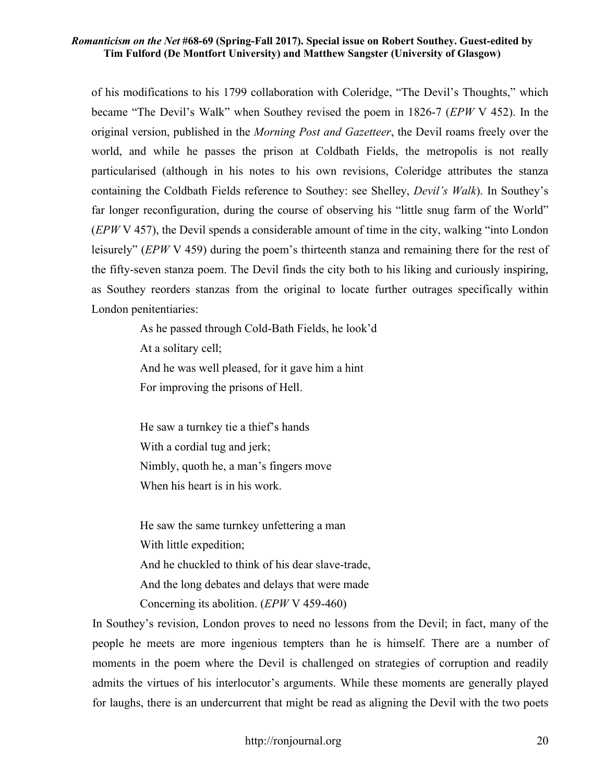of his modifications to his 1799 collaboration with Coleridge, "The Devil's Thoughts," which became "The Devil's Walk" when Southey revised the poem in 1826-7 (*EPW* V 452). In the original version, published in the *Morning Post and Gazetteer*, the Devil roams freely over the world, and while he passes the prison at Coldbath Fields, the metropolis is not really particularised (although in his notes to his own revisions, Coleridge attributes the stanza containing the Coldbath Fields reference to Southey: see Shelley, *Devil's Walk*). In Southey's far longer reconfiguration, during the course of observing his "little snug farm of the World" (*EPW* V 457), the Devil spends a considerable amount of time in the city, walking "into London leisurely" (*EPW* V 459) during the poem's thirteenth stanza and remaining there for the rest of the fifty-seven stanza poem. The Devil finds the city both to his liking and curiously inspiring, as Southey reorders stanzas from the original to locate further outrages specifically within London penitentiaries:

> As he passed through Cold-Bath Fields, he look'd At a solitary cell; And he was well pleased, for it gave him a hint For improving the prisons of Hell.

He saw a turnkey tie a thief's hands With a cordial tug and jerk; Nimbly, quoth he, a man's fingers move When his heart is in his work.

He saw the same turnkey unfettering a man With little expedition; And he chuckled to think of his dear slave-trade, And the long debates and delays that were made Concerning its abolition. (*EPW* V 459-460)

In Southey's revision, London proves to need no lessons from the Devil; in fact, many of the people he meets are more ingenious tempters than he is himself. There are a number of moments in the poem where the Devil is challenged on strategies of corruption and readily admits the virtues of his interlocutor's arguments. While these moments are generally played for laughs, there is an undercurrent that might be read as aligning the Devil with the two poets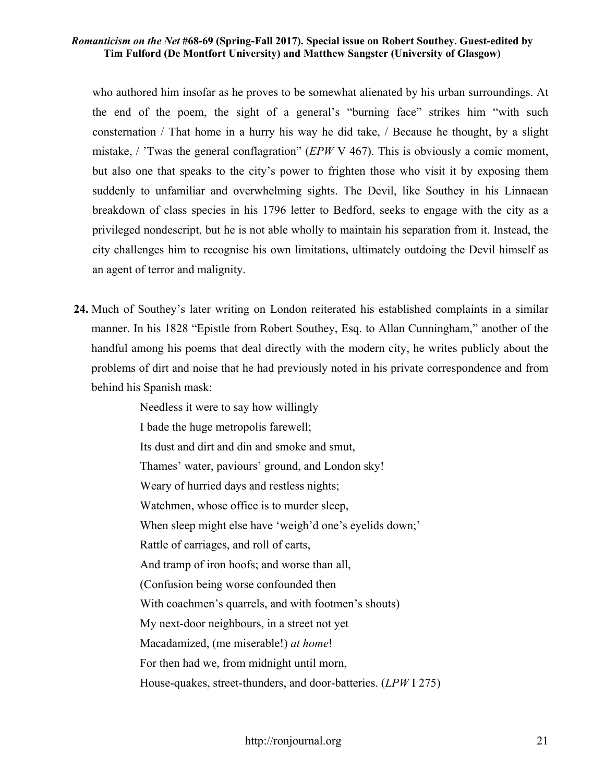who authored him insofar as he proves to be somewhat alienated by his urban surroundings. At the end of the poem, the sight of a general's "burning face" strikes him "with such consternation / That home in a hurry his way he did take, / Because he thought, by a slight mistake, / 'Twas the general conflagration" (*EPW* V 467). This is obviously a comic moment, but also one that speaks to the city's power to frighten those who visit it by exposing them suddenly to unfamiliar and overwhelming sights. The Devil, like Southey in his Linnaean breakdown of class species in his 1796 letter to Bedford, seeks to engage with the city as a privileged nondescript, but he is not able wholly to maintain his separation from it. Instead, the city challenges him to recognise his own limitations, ultimately outdoing the Devil himself as an agent of terror and malignity.

**24.** Much of Southey's later writing on London reiterated his established complaints in a similar manner. In his 1828 "Epistle from Robert Southey, Esq. to Allan Cunningham," another of the handful among his poems that deal directly with the modern city, he writes publicly about the problems of dirt and noise that he had previously noted in his private correspondence and from behind his Spanish mask:

> Needless it were to say how willingly I bade the huge metropolis farewell; Its dust and dirt and din and smoke and smut, Thames' water, paviours' ground, and London sky! Weary of hurried days and restless nights; Watchmen, whose office is to murder sleep, When sleep might else have 'weigh'd one's eyelids down;' Rattle of carriages, and roll of carts, And tramp of iron hoofs; and worse than all, (Confusion being worse confounded then With coachmen's quarrels, and with footmen's shouts) My next-door neighbours, in a street not yet Macadamized, (me miserable!) *at home*! For then had we, from midnight until morn, House-quakes, street-thunders, and door-batteries. (*LPW* I 275)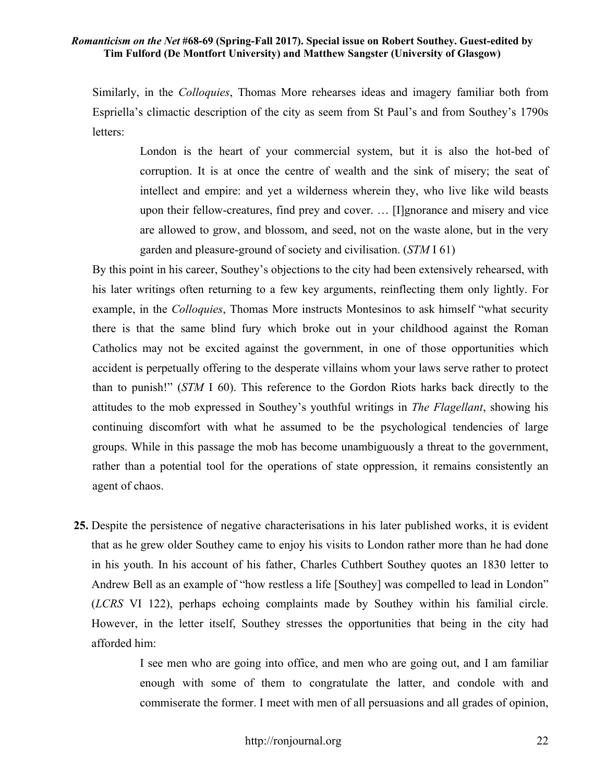Similarly, in the *Colloquies*, Thomas More rehearses ideas and imagery familiar both from Espriella's climactic description of the city as seem from St Paul's and from Southey's 1790s letters:

> London is the heart of your commercial system, but it is also the hot-bed of corruption. It is at once the centre of wealth and the sink of misery; the seat of intellect and empire: and yet a wilderness wherein they, who live like wild beasts upon their fellow-creatures, find prey and cover. … [I]gnorance and misery and vice are allowed to grow, and blossom, and seed, not on the waste alone, but in the very garden and pleasure-ground of society and civilisation. (*STM* I 61)

By this point in his career, Southey's objections to the city had been extensively rehearsed, with his later writings often returning to a few key arguments, reinflecting them only lightly. For example, in the *Colloquies*, Thomas More instructs Montesinos to ask himself "what security there is that the same blind fury which broke out in your childhood against the Roman Catholics may not be excited against the government, in one of those opportunities which accident is perpetually offering to the desperate villains whom your laws serve rather to protect than to punish!" (*STM* I 60). This reference to the Gordon Riots harks back directly to the attitudes to the mob expressed in Southey's youthful writings in *The Flagellant*, showing his continuing discomfort with what he assumed to be the psychological tendencies of large groups. While in this passage the mob has become unambiguously a threat to the government, rather than a potential tool for the operations of state oppression, it remains consistently an agent of chaos.

**25.** Despite the persistence of negative characterisations in his later published works, it is evident that as he grew older Southey came to enjoy his visits to London rather more than he had done in his youth. In his account of his father, Charles Cuthbert Southey quotes an 1830 letter to Andrew Bell as an example of "how restless a life [Southey] was compelled to lead in London" (*LCRS* VI 122), perhaps echoing complaints made by Southey within his familial circle. However, in the letter itself, Southey stresses the opportunities that being in the city had afforded him:

> I see men who are going into office, and men who are going out, and I am familiar enough with some of them to congratulate the latter, and condole with and commiserate the former. I meet with men of all persuasions and all grades of opinion,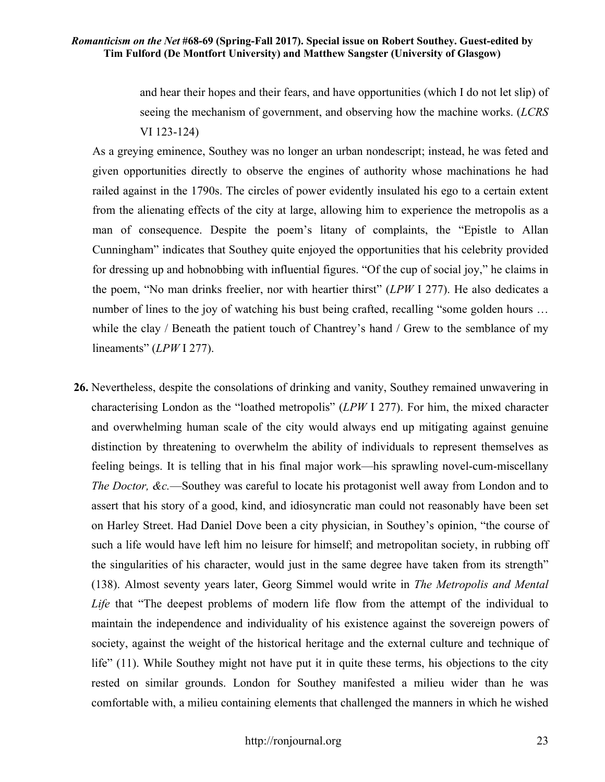and hear their hopes and their fears, and have opportunities (which I do not let slip) of seeing the mechanism of government, and observing how the machine works. (*LCRS* VI 123-124)

As a greying eminence, Southey was no longer an urban nondescript; instead, he was feted and given opportunities directly to observe the engines of authority whose machinations he had railed against in the 1790s. The circles of power evidently insulated his ego to a certain extent from the alienating effects of the city at large, allowing him to experience the metropolis as a man of consequence. Despite the poem's litany of complaints, the "Epistle to Allan Cunningham" indicates that Southey quite enjoyed the opportunities that his celebrity provided for dressing up and hobnobbing with influential figures. "Of the cup of social joy," he claims in the poem, "No man drinks freelier, nor with heartier thirst" (*LPW* I 277). He also dedicates a number of lines to the joy of watching his bust being crafted, recalling "some golden hours ... while the clay / Beneath the patient touch of Chantrey's hand / Grew to the semblance of my lineaments" (*LPW* I 277).

**26.** Nevertheless, despite the consolations of drinking and vanity, Southey remained unwavering in characterising London as the "loathed metropolis" (*LPW* I 277). For him, the mixed character and overwhelming human scale of the city would always end up mitigating against genuine distinction by threatening to overwhelm the ability of individuals to represent themselves as feeling beings. It is telling that in his final major work—his sprawling novel-cum-miscellany *The Doctor, &c.*—Southey was careful to locate his protagonist well away from London and to assert that his story of a good, kind, and idiosyncratic man could not reasonably have been set on Harley Street. Had Daniel Dove been a city physician, in Southey's opinion, "the course of such a life would have left him no leisure for himself; and metropolitan society, in rubbing off the singularities of his character, would just in the same degree have taken from its strength" (138). Almost seventy years later, Georg Simmel would write in *The Metropolis and Mental Life* that "The deepest problems of modern life flow from the attempt of the individual to maintain the independence and individuality of his existence against the sovereign powers of society, against the weight of the historical heritage and the external culture and technique of life" (11). While Southey might not have put it in quite these terms, his objections to the city rested on similar grounds. London for Southey manifested a milieu wider than he was comfortable with, a milieu containing elements that challenged the manners in which he wished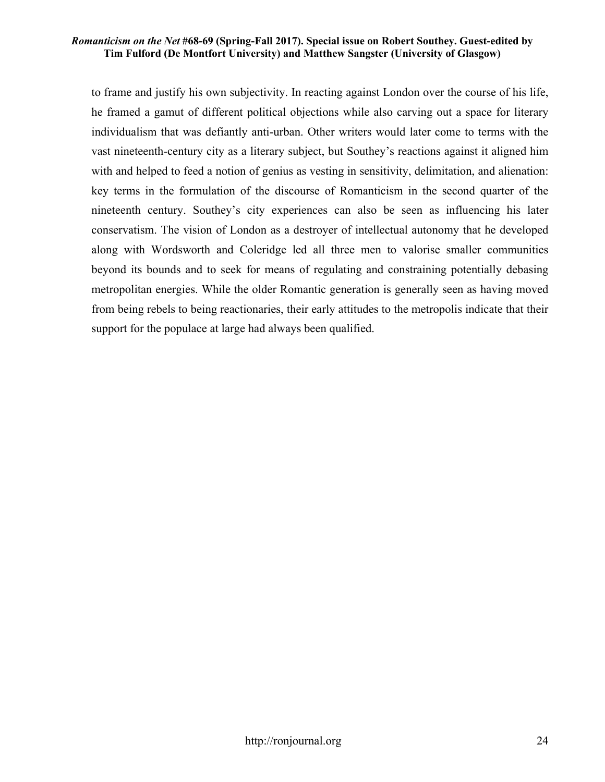to frame and justify his own subjectivity. In reacting against London over the course of his life, he framed a gamut of different political objections while also carving out a space for literary individualism that was defiantly anti-urban. Other writers would later come to terms with the vast nineteenth-century city as a literary subject, but Southey's reactions against it aligned him with and helped to feed a notion of genius as vesting in sensitivity, delimitation, and alienation: key terms in the formulation of the discourse of Romanticism in the second quarter of the nineteenth century. Southey's city experiences can also be seen as influencing his later conservatism. The vision of London as a destroyer of intellectual autonomy that he developed along with Wordsworth and Coleridge led all three men to valorise smaller communities beyond its bounds and to seek for means of regulating and constraining potentially debasing metropolitan energies. While the older Romantic generation is generally seen as having moved from being rebels to being reactionaries, their early attitudes to the metropolis indicate that their support for the populace at large had always been qualified.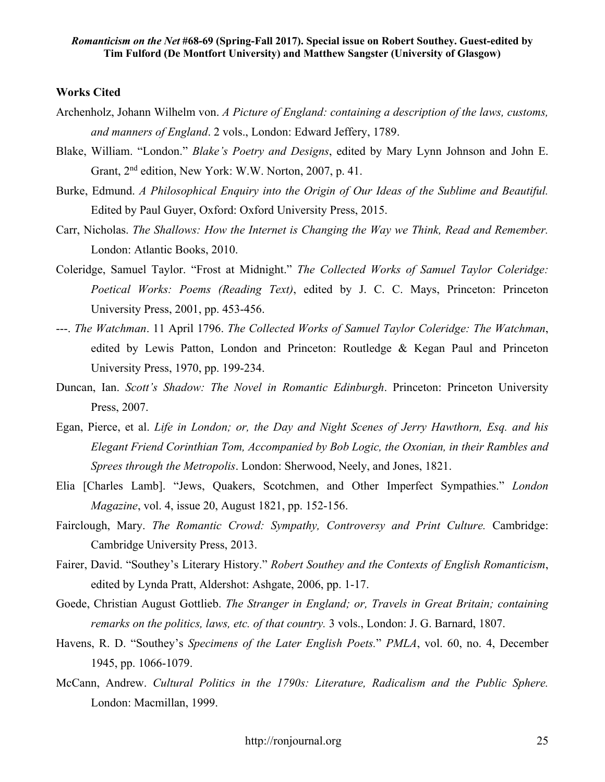# **Works Cited**

- Archenholz, Johann Wilhelm von. *A Picture of England: containing a description of the laws, customs, and manners of England*. 2 vols., London: Edward Jeffery, 1789.
- Blake, William. "London." *Blake's Poetry and Designs*, edited by Mary Lynn Johnson and John E. Grant, 2nd edition, New York: W.W. Norton, 2007, p. 41.
- Burke, Edmund. *A Philosophical Enquiry into the Origin of Our Ideas of the Sublime and Beautiful.*  Edited by Paul Guyer, Oxford: Oxford University Press, 2015.
- Carr, Nicholas. *The Shallows: How the Internet is Changing the Way we Think, Read and Remember.*  London: Atlantic Books, 2010.
- Coleridge, Samuel Taylor. "Frost at Midnight." *The Collected Works of Samuel Taylor Coleridge: Poetical Works: Poems (Reading Text)*, edited by J. C. C. Mays, Princeton: Princeton University Press, 2001, pp. 453-456.
- ---. *The Watchman*. 11 April 1796. *The Collected Works of Samuel Taylor Coleridge: The Watchman*, edited by Lewis Patton, London and Princeton: Routledge & Kegan Paul and Princeton University Press, 1970, pp. 199-234.
- Duncan, Ian. *Scott's Shadow: The Novel in Romantic Edinburgh*. Princeton: Princeton University Press, 2007.
- Egan, Pierce, et al. *Life in London; or, the Day and Night Scenes of Jerry Hawthorn, Esq. and his Elegant Friend Corinthian Tom, Accompanied by Bob Logic, the Oxonian, in their Rambles and Sprees through the Metropolis*. London: Sherwood, Neely, and Jones, 1821.
- Elia [Charles Lamb]. "Jews, Quakers, Scotchmen, and Other Imperfect Sympathies." *London Magazine*, vol. 4, issue 20, August 1821, pp. 152-156.
- Fairclough, Mary. *The Romantic Crowd: Sympathy, Controversy and Print Culture.* Cambridge: Cambridge University Press, 2013.
- Fairer, David. "Southey's Literary History." *Robert Southey and the Contexts of English Romanticism*, edited by Lynda Pratt, Aldershot: Ashgate, 2006, pp. 1-17.
- Goede, Christian August Gottlieb. *The Stranger in England; or, Travels in Great Britain; containing remarks on the politics, laws, etc. of that country.* 3 vols., London: J. G. Barnard, 1807.
- Havens, R. D. "Southey's *Specimens of the Later English Poets.*" *PMLA*, vol. 60, no. 4, December 1945, pp. 1066-1079.
- McCann, Andrew. *Cultural Politics in the 1790s: Literature, Radicalism and the Public Sphere.*  London: Macmillan, 1999.